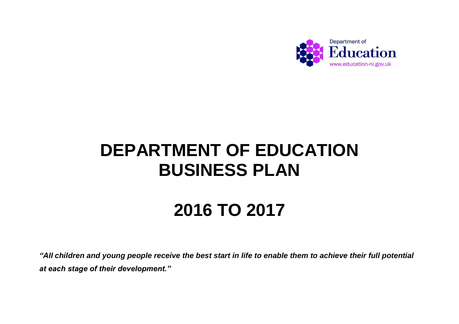

# **DEPARTMENT OF EDUCATION BUSINESS PLAN**

# **2016 TO 2017**

*"All children and young people receive the best start in life to enable them to achieve their full potential at each stage of their development."*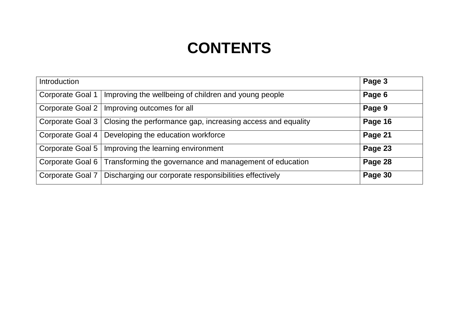### **CONTENTS**

| Introduction            |                                                                                | Page 3  |
|-------------------------|--------------------------------------------------------------------------------|---------|
| <b>Corporate Goal 1</b> | Improving the wellbeing of children and young people                           | Page 6  |
| Corporate Goal 2        | Improving outcomes for all                                                     | Page 9  |
|                         | Corporate Goal 3   Closing the performance gap, increasing access and equality | Page 16 |
|                         | Corporate Goal 4   Developing the education workforce                          | Page 21 |
| Corporate Goal 5        | Improving the learning environment                                             | Page 23 |
|                         | Corporate Goal 6   Transforming the governance and management of education     | Page 28 |
| Corporate Goal 7        | Discharging our corporate responsibilities effectively                         | Page 30 |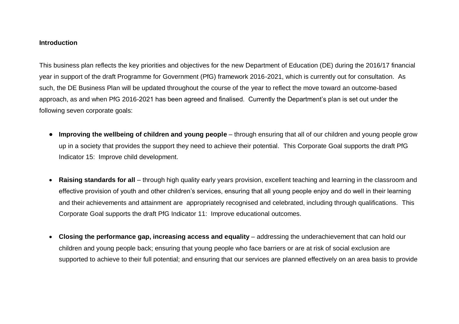#### **Introduction**

This business plan reflects the key priorities and objectives for the new Department of Education (DE) during the 2016/17 financial year in support of the draft Programme for Government (PfG) framework 2016-2021, which is currently out for consultation. As such, the DE Business Plan will be updated throughout the course of the year to reflect the move toward an outcome-based approach, as and when PfG 2016-2021 has been agreed and finalised. Currently the Department's plan is set out under the following seven corporate goals:

- **Improving the wellbeing of children and young people** through ensuring that all of our children and young people grow up in a society that provides the support they need to achieve their potential. This Corporate Goal supports the draft PfG Indicator 15: Improve child development.
- **Raising standards for all**  through high quality early years provision, excellent teaching and learning in the classroom and effective provision of youth and other children's services, ensuring that all young people enjoy and do well in their learning and their achievements and attainment are appropriately recognised and celebrated, including through qualifications. This Corporate Goal supports the draft PfG Indicator 11: Improve educational outcomes.
- **Closing the performance gap, increasing access and equality** addressing the underachievement that can hold our children and young people back; ensuring that young people who face barriers or are at risk of social exclusion are supported to achieve to their full potential; and ensuring that our services are planned effectively on an area basis to provide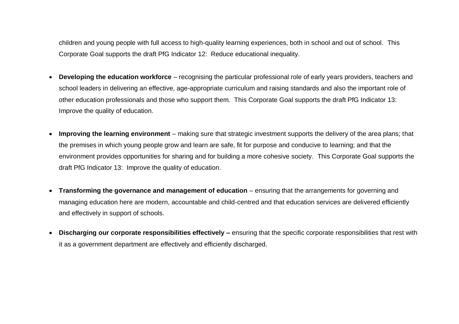children and young people with full access to high-quality learning experiences, both in school and out of school. This Corporate Goal supports the draft PfG Indicator 12: Reduce educational inequality.

- **Developing the education workforce** recognising the particular professional role of early years providers, teachers and school leaders in delivering an effective, age-appropriate curriculum and raising standards and also the important role of other education professionals and those who support them. This Corporate Goal supports the draft PfG Indicator 13: Improve the quality of education.
- **Improving the learning environment** making sure that strategic investment supports the delivery of the area plans; that the premises in which young people grow and learn are safe, fit for purpose and conducive to learning; and that the environment provides opportunities for sharing and for building a more cohesive society. This Corporate Goal supports the draft PfG Indicator 13: Improve the quality of education.
- **Transforming the governance and management of education** ensuring that the arrangements for governing and managing education here are modern, accountable and child-centred and that education services are delivered efficiently and effectively in support of schools.
- **Discharging our corporate responsibilities effectively –** ensuring that the specific corporate responsibilities that rest with it as a government department are effectively and efficiently discharged.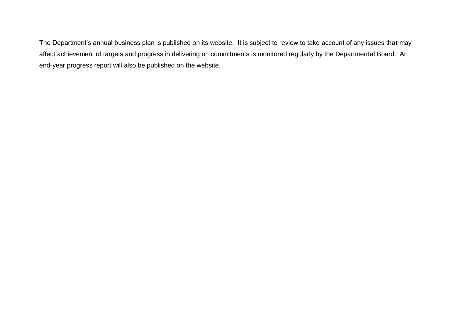The Department's annual business plan is published on its website. It is subject to review to take account of any issues that may affect achievement of targets and progress in delivering on commitments is monitored regularly by the Departmental Board. An end-year progress report will also be published on the website.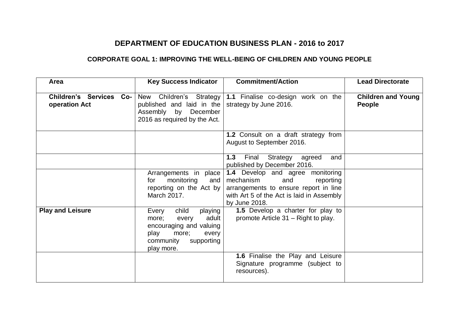#### **DEPARTMENT OF EDUCATION BUSINESS PLAN - 2016 to 2017**

#### **CORPORATE GOAL 1: IMPROVING THE WELL-BEING OF CHILDREN AND YOUNG PEOPLE**

| Area                                     | <b>Key Success Indicator</b>                                                                                                                       | <b>Commitment/Action</b>                                                                                                                                                        | <b>Lead Directorate</b>                    |
|------------------------------------------|----------------------------------------------------------------------------------------------------------------------------------------------------|---------------------------------------------------------------------------------------------------------------------------------------------------------------------------------|--------------------------------------------|
| Children's Services Co-<br>operation Act | New Children's Strategy<br>published and laid in the<br>Assembly by December<br>2016 as required by the Act.                                       | 1.1 Finalise co-design work on the<br>strategy by June 2016.                                                                                                                    | <b>Children and Young</b><br><b>People</b> |
|                                          |                                                                                                                                                    | 1.2 Consult on a draft strategy from<br>August to September 2016.                                                                                                               |                                            |
|                                          |                                                                                                                                                    | 1.3<br>Final<br>Strategy agreed<br>and<br>published by December 2016.                                                                                                           |                                            |
|                                          | Arrangements in place<br>monitoring<br>for<br>and<br>reporting on the Act by<br>March 2017.                                                        | <b>1.4</b> Develop and agree monitoring<br>mechanism<br>and<br>reporting<br>arrangements to ensure report in line<br>with Art 5 of the Act is laid in Assembly<br>by June 2018. |                                            |
| <b>Play and Leisure</b>                  | child<br>Every<br>playing<br>adult<br>every<br>more;<br>encouraging and valuing<br>play<br>more;<br>every<br>community<br>supporting<br>play more. | 1.5 Develop a charter for play to<br>promote Article 31 – Right to play.                                                                                                        |                                            |
|                                          |                                                                                                                                                    | 1.6 Finalise the Play and Leisure<br>Signature programme (subject to<br>resources).                                                                                             |                                            |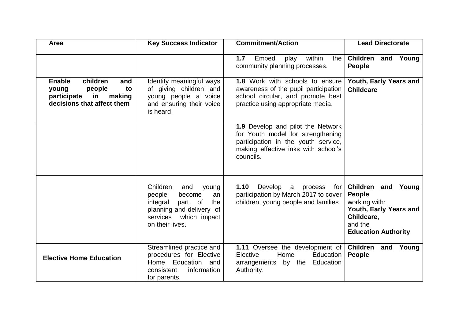| Area                                                                                                                      | <b>Key Success Indicator</b>                                                                                                                             | <b>Commitment/Action</b>                                                                                                                                          | <b>Lead Directorate</b>                                                                                                               |
|---------------------------------------------------------------------------------------------------------------------------|----------------------------------------------------------------------------------------------------------------------------------------------------------|-------------------------------------------------------------------------------------------------------------------------------------------------------------------|---------------------------------------------------------------------------------------------------------------------------------------|
|                                                                                                                           |                                                                                                                                                          | within<br>Embed<br>1.7<br>play<br>the<br>community planning processes.                                                                                            | <b>Children</b><br>and Young<br><b>People</b>                                                                                         |
| <b>Enable</b><br>children<br>and<br>people<br>to<br>young<br>making<br>participate<br>in in<br>decisions that affect them | Identify meaningful ways<br>of giving children and<br>young people a voice<br>and ensuring their voice<br>is heard.                                      | <b>1.8</b> Work with schools to ensure<br>awareness of the pupil participation<br>school circular, and promote best<br>practice using appropriate media.          | Youth, Early Years and<br><b>Childcare</b>                                                                                            |
|                                                                                                                           |                                                                                                                                                          | 1.9 Develop and pilot the Network<br>for Youth model for strengthening<br>participation in the youth service,<br>making effective inks with school's<br>councils. |                                                                                                                                       |
|                                                                                                                           | Children<br>and<br>young<br>people<br>become<br>an<br>integral<br>part of<br>the<br>planning and delivery of<br>services which impact<br>on their lives. | 1.10<br>Develop a<br>process<br>for<br>participation by March 2017 to cover<br>children, young people and families                                                | Children and Young<br><b>People</b><br>working with:<br>Youth, Early Years and<br>Childcare,<br>and the<br><b>Education Authority</b> |
| <b>Elective Home Education</b>                                                                                            | Streamlined practice and<br>procedures for Elective<br>Home Education and<br>information<br>consistent<br>for parents.                                   | 1.11 Oversee the development of Children and Young<br>Home<br>Elective<br>Education<br>arrangements by the<br>Education<br>Authority.                             | <b>People</b>                                                                                                                         |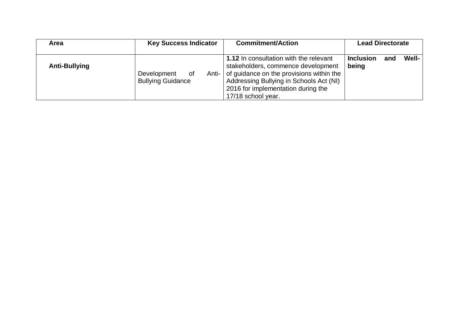| Area                 | <b>Key Success Indicator</b>                           | <b>Commitment/Action</b>                                                                                                                                                                                                               | <b>Lead Directorate</b>                   |  |
|----------------------|--------------------------------------------------------|----------------------------------------------------------------------------------------------------------------------------------------------------------------------------------------------------------------------------------------|-------------------------------------------|--|
| <b>Anti-Bullying</b> | Development<br>Anti-<br>0f<br><b>Bullying Guidance</b> | <b>1.12</b> In consultation with the relevant<br>stakeholders, commence development<br>of guidance on the provisions within the<br>Addressing Bullying in Schools Act (NI)<br>2016 for implementation during the<br>17/18 school year. | Well-<br><b>Inclusion</b><br>and<br>being |  |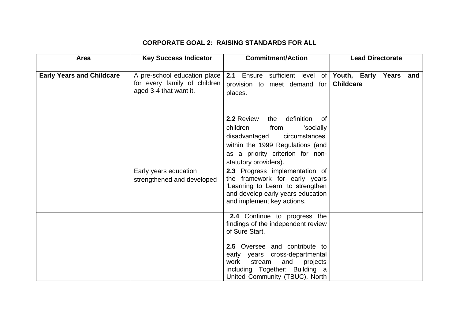#### **CORPORATE GOAL 2: RAISING STANDARDS FOR ALL**

| Area                             | <b>Key Success Indicator</b>                                                           | <b>Commitment/Action</b>                                                                                                                                                 | <b>Lead Directorate</b> |
|----------------------------------|----------------------------------------------------------------------------------------|--------------------------------------------------------------------------------------------------------------------------------------------------------------------------|-------------------------|
|                                  |                                                                                        |                                                                                                                                                                          |                         |
| <b>Early Years and Childcare</b> | A pre-school education place<br>for every family of children<br>aged 3-4 that want it. | 2.1 Ensure sufficient level of Youth, Early Years and<br>provision to meet demand for<br>places.                                                                         | <b>Childcare</b>        |
|                                  |                                                                                        | definition<br>2.2 Review<br>the<br>0f<br>children<br>from<br>'socially                                                                                                   |                         |
|                                  |                                                                                        | circumstances'<br>disadvantaged                                                                                                                                          |                         |
|                                  |                                                                                        | within the 1999 Regulations (and<br>as a priority criterion for non-                                                                                                     |                         |
|                                  |                                                                                        | statutory providers).                                                                                                                                                    |                         |
|                                  | Early years education<br>strengthened and developed                                    | 2.3 Progress implementation of<br>the framework for early years<br>'Learning to Learn' to strengthen<br>and develop early years education<br>and implement key actions.  |                         |
|                                  |                                                                                        | 2.4 Continue to progress the<br>findings of the independent review<br>of Sure Start.                                                                                     |                         |
|                                  |                                                                                        | 2.5 Oversee and contribute to<br>early years cross-departmental<br>stream<br>work<br>and<br>projects<br>including Together: Building a<br>United Community (TBUC), North |                         |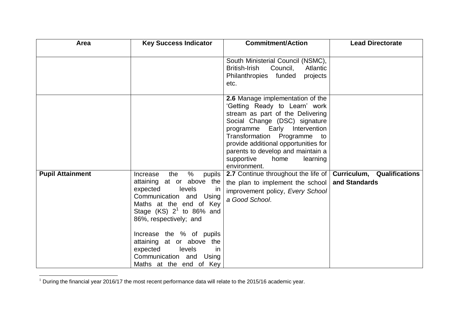| Area                    | <b>Key Success Indicator</b>                                                                                                                                                                                                                                                                                                                                              | <b>Commitment/Action</b>                                                                                                                                                                                                                                                                                                             | <b>Lead Directorate</b> |
|-------------------------|---------------------------------------------------------------------------------------------------------------------------------------------------------------------------------------------------------------------------------------------------------------------------------------------------------------------------------------------------------------------------|--------------------------------------------------------------------------------------------------------------------------------------------------------------------------------------------------------------------------------------------------------------------------------------------------------------------------------------|-------------------------|
|                         |                                                                                                                                                                                                                                                                                                                                                                           | South Ministerial Council (NSMC),<br>British-Irish<br>Council,<br>Atlantic<br>Philanthropies funded<br>projects<br>etc.                                                                                                                                                                                                              |                         |
|                         |                                                                                                                                                                                                                                                                                                                                                                           | 2.6 Manage implementation of the<br>'Getting Ready to Learn' work<br>stream as part of the Delivering<br>Social Change (DSC) signature<br>programme Early Intervention<br>Transformation Programme to<br>provide additional opportunities for<br>parents to develop and maintain a<br>supportive<br>home<br>learning<br>environment. |                         |
| <b>Pupil Attainment</b> | $\frac{0}{0}$<br>the<br>Increase<br>pupils<br>attaining at or above the<br>levels<br>expected<br>ın<br>Communication and<br>Using<br>Maths at the end of Key<br>Stage $(KS)$ $2^1$ to 86% and<br>86%, respectively; and<br>Increase the % of pupils<br>attaining at or above the<br>expected<br>levels<br><i>in</i><br>Communication and Using<br>Maths at the end of Key | 2.7 Continue throughout the life of   Curriculum, Qualifications<br>the plan to implement the school<br>improvement policy, Every School<br>a Good School.                                                                                                                                                                           | and Standards           |

l  $1$  During the financial year 2016/17 the most recent performance data will relate to the 2015/16 academic year.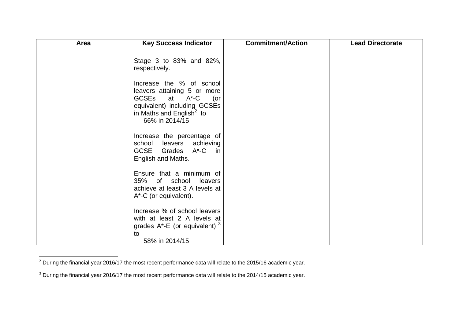| Area | <b>Key Success Indicator</b>                                                                                                                                          | <b>Commitment/Action</b> | <b>Lead Directorate</b> |
|------|-----------------------------------------------------------------------------------------------------------------------------------------------------------------------|--------------------------|-------------------------|
|      | Stage 3 to 83% and 82%,<br>respectively.                                                                                                                              |                          |                         |
|      | Increase the % of school<br>leavers attaining 5 or more<br>GCSEs at A*-C (or<br>equivalent) including GCSEs<br>in Maths and English <sup>2</sup> to<br>66% in 2014/15 |                          |                         |
|      | Increase the percentage of<br>school leavers achieving<br>GCSE Grades<br>A*-C in<br>English and Maths.                                                                |                          |                         |
|      | Ensure that a minimum of<br>35% of school leavers<br>achieve at least 3 A levels at<br>$A^*$ -C (or equivalent).                                                      |                          |                         |
|      | Increase % of school leavers<br>with at least 2 A levels at<br>grades $A^*$ -E (or equivalent) $3$<br>to<br>58% in 2014/15                                            |                          |                         |

 $^2$  During the financial year 2016/17 the most recent performance data will relate to the 2015/16 academic year.

l

 $3$  During the financial year 2016/17 the most recent performance data will relate to the 2014/15 academic year.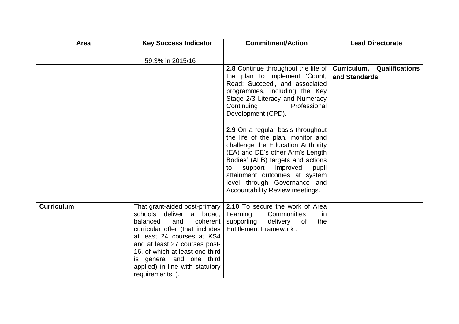| Area              | <b>Key Success Indicator</b>                                                                                                                                                                                                                                                                                    | <b>Commitment/Action</b>                                                                                                                                                                                                                                                                                                       | <b>Lead Directorate</b>                            |
|-------------------|-----------------------------------------------------------------------------------------------------------------------------------------------------------------------------------------------------------------------------------------------------------------------------------------------------------------|--------------------------------------------------------------------------------------------------------------------------------------------------------------------------------------------------------------------------------------------------------------------------------------------------------------------------------|----------------------------------------------------|
|                   |                                                                                                                                                                                                                                                                                                                 |                                                                                                                                                                                                                                                                                                                                |                                                    |
|                   | 59.3% in 2015/16                                                                                                                                                                                                                                                                                                |                                                                                                                                                                                                                                                                                                                                |                                                    |
|                   |                                                                                                                                                                                                                                                                                                                 | <b>2.8</b> Continue throughout the life of<br>the plan to implement 'Count,<br>Read: Succeed', and associated<br>programmes, including the Key<br>Stage 2/3 Literacy and Numeracy<br>Continuing<br>Professional<br>Development (CPD).                                                                                          | <b>Curriculum, Qualifications</b><br>and Standards |
|                   |                                                                                                                                                                                                                                                                                                                 | 2.9 On a regular basis throughout<br>the life of the plan, monitor and<br>challenge the Education Authority<br>(EA) and DE's other Arm's Length<br>Bodies' (ALB) targets and actions<br>support<br>improved<br>pupil<br>to<br>attainment outcomes at system<br>level through Governance and<br>Accountability Review meetings. |                                                    |
| <b>Curriculum</b> | That grant-aided post-primary<br>schools deliver a broad,<br>balanced<br>coherent<br>and<br>curricular offer (that includes<br>at least 24 courses at KS4<br>and at least 27 courses post-<br>16, of which at least one third<br>is general and one third<br>applied) in line with statutory<br>requirements.). | 2.10 To secure the work of Area<br>Learning<br>Communities<br><i>in</i><br>supporting<br>delivery of<br>the<br><b>Entitlement Framework.</b>                                                                                                                                                                                   |                                                    |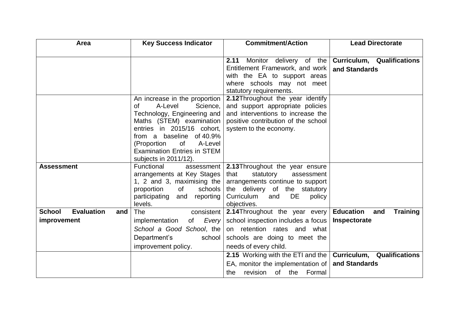| Area                                      | <b>Key Success Indicator</b>                           | <b>Commitment/Action</b>                                       | <b>Lead Directorate</b>                            |
|-------------------------------------------|--------------------------------------------------------|----------------------------------------------------------------|----------------------------------------------------|
|                                           |                                                        |                                                                |                                                    |
|                                           |                                                        | 2.11                                                           | Monitor delivery of the Curriculum, Qualifications |
|                                           |                                                        | Entitlement Framework, and work                                | and Standards                                      |
|                                           |                                                        | with the EA to support areas                                   |                                                    |
|                                           |                                                        | where schools may not meet                                     |                                                    |
|                                           |                                                        | statutory requirements.                                        |                                                    |
|                                           | An increase in the proportion                          | 2.12Throughout the year identify                               |                                                    |
|                                           | A-Level<br>Science,<br>οf                              | and support appropriate policies                               |                                                    |
|                                           | Technology, Engineering and                            | and interventions to increase the                              |                                                    |
|                                           | Maths (STEM) examination                               | positive contribution of the school                            |                                                    |
|                                           | entries in 2015/16 cohort,<br>from a baseline of 40.9% | system to the economy.                                         |                                                    |
|                                           | <b>of</b><br>A-Level<br>(Proportion                    |                                                                |                                                    |
|                                           | <b>Examination Entries in STEM</b>                     |                                                                |                                                    |
|                                           | subjects in 2011/12).                                  |                                                                |                                                    |
| <b>Assessment</b>                         | Functional<br>assessment                               | 2.13Throughout the year ensure                                 |                                                    |
|                                           | arrangements at Key Stages                             | that<br>statutory<br>assessment                                |                                                    |
|                                           | 1, 2 and 3, maximising the                             | arrangements continue to support                               |                                                    |
|                                           | proportion<br>0f<br>schools                            | the delivery of the statutory                                  |                                                    |
|                                           | participating and reporting                            | DE<br>Curriculum<br>and<br>policy                              |                                                    |
|                                           | levels.                                                | objectives.                                                    |                                                    |
| <b>Evaluation</b><br><b>School</b><br>and | <b>The</b><br>consistent                               | 2.14 Throughout the year every                                 | <b>Education</b><br><b>Training</b><br>and         |
| improvement                               | Every<br>implementation<br>of                          | school inspection includes a focus                             | Inspectorate                                       |
|                                           | School a Good School, the                              | on retention rates and what                                    |                                                    |
|                                           | Department's<br>school                                 | schools are doing to meet the                                  |                                                    |
|                                           | improvement policy.                                    | needs of every child.                                          |                                                    |
|                                           |                                                        | 2.15 Working with the ETI and the   Curriculum, Qualifications |                                                    |
|                                           |                                                        | EA, monitor the implementation of $ $                          | and Standards                                      |
|                                           |                                                        | revision of the Formal<br>the                                  |                                                    |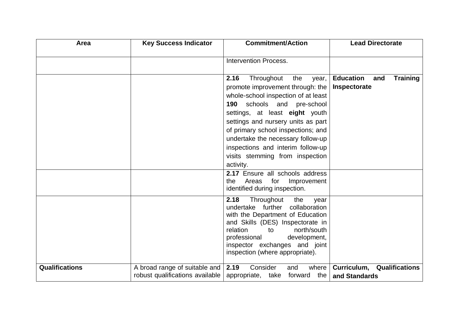| Area                  | <b>Key Success Indicator</b>                                     | <b>Commitment/Action</b>                                                                                                                                                                                                                                                                                                                                                                     | <b>Lead Directorate</b>                                    |
|-----------------------|------------------------------------------------------------------|----------------------------------------------------------------------------------------------------------------------------------------------------------------------------------------------------------------------------------------------------------------------------------------------------------------------------------------------------------------------------------------------|------------------------------------------------------------|
|                       |                                                                  | <b>Intervention Process.</b>                                                                                                                                                                                                                                                                                                                                                                 |                                                            |
|                       |                                                                  | 2.16<br>Throughout<br>the<br>year,<br>promote improvement through: the<br>whole-school inspection of at least<br>schools<br>190<br>and<br>pre-school<br>settings, at least eight youth<br>settings and nursery units as part<br>of primary school inspections; and<br>undertake the necessary follow-up<br>inspections and interim follow-up<br>visits stemming from inspection<br>activity. | <b>Education</b><br><b>Training</b><br>and<br>Inspectorate |
|                       |                                                                  | 2.17 Ensure all schools address<br>for<br>Areas<br>Improvement<br>the<br>identified during inspection.                                                                                                                                                                                                                                                                                       |                                                            |
|                       |                                                                  | 2.18<br>Throughout<br>the<br>year<br>undertake further<br>collaboration<br>with the Department of Education<br>and Skills (DES) Inspectorate in<br>relation<br>north/south<br>to<br>development,<br>professional<br>inspector exchanges and joint<br>inspection (where appropriate).                                                                                                         |                                                            |
| <b>Qualifications</b> | A broad range of suitable and<br>robust qualifications available | Consider<br>2.19<br>where<br>and<br>the<br>appropriate, take<br>forward                                                                                                                                                                                                                                                                                                                      | <b>Curriculum, Qualifications</b><br>and Standards         |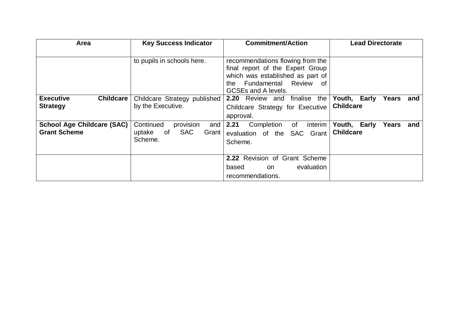| <b>Area</b>                                              | <b>Key Success Indicator</b>                                          | <b>Commitment/Action</b>                                                                                                                                                      | <b>Lead Directorate</b>                          |
|----------------------------------------------------------|-----------------------------------------------------------------------|-------------------------------------------------------------------------------------------------------------------------------------------------------------------------------|--------------------------------------------------|
|                                                          | to pupils in schools here.                                            | recommendations flowing from the<br>final report of the Expert Group<br>which was established as part of<br>Fundamental<br>Review<br>the.<br>of<br><b>GCSEs and A levels.</b> |                                                  |
| <b>Executive</b><br><b>Childcare</b><br><b>Strategy</b>  | Childcare Strategy published<br>by the Executive.                     | 2.20 Review and finalise<br>the<br>Childcare Strategy for Executive<br>approval.                                                                                              | Youth, Early<br>Years<br>and<br><b>Childcare</b> |
| <b>School Age Childcare (SAC)</b><br><b>Grant Scheme</b> | provision<br>Continued<br>and<br>of SAC<br>uptake<br>Grant<br>Scheme. | 2.21<br>Completion<br>interim<br>of<br>evaluation of the<br><b>SAC</b><br>Grant<br>Scheme.                                                                                    | Youth, Early<br>Years<br>and<br><b>Childcare</b> |
|                                                          |                                                                       | 2.22 Revision of Grant Scheme<br>evaluation<br>based<br>on<br>recommendations.                                                                                                |                                                  |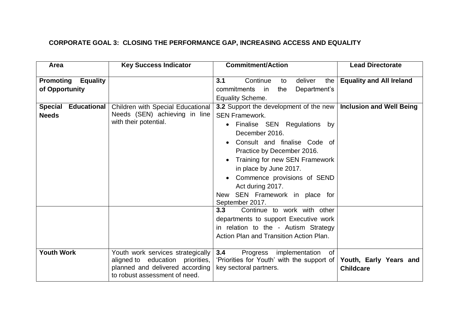### **CORPORATE GOAL 3: CLOSING THE PERFORMANCE GAP, INCREASING ACCESS AND EQUALITY**

| Area                                                  | <b>Key Success Indicator</b>                                                                                                              | <b>Commitment/Action</b>                                                                                                                                                                                                                                                                                                                                           | <b>Lead Directorate</b>                    |
|-------------------------------------------------------|-------------------------------------------------------------------------------------------------------------------------------------------|--------------------------------------------------------------------------------------------------------------------------------------------------------------------------------------------------------------------------------------------------------------------------------------------------------------------------------------------------------------------|--------------------------------------------|
| <b>Promoting</b><br><b>Equality</b><br>of Opportunity |                                                                                                                                           | 3.1<br>Continue<br>deliver<br>the<br>to<br>Department's<br>commitments<br>the<br>in in<br>Equality Scheme.                                                                                                                                                                                                                                                         | <b>Equality and All Ireland</b>            |
| Special Educational<br><b>Needs</b>                   | Children with Special Educational<br>Needs (SEN) achieving in line<br>with their potential.                                               | 3.2 Support the development of the new<br><b>SEN Framework.</b><br>Finalise SEN Regulations by<br>$\bullet$<br>December 2016.<br>Consult and finalise Code of<br>Practice by December 2016.<br>Training for new SEN Framework<br>in place by June 2017.<br>Commence provisions of SEND<br>Act during 2017.<br>SEN Framework in place for<br>New<br>September 2017. | <b>Inclusion and Well Being</b>            |
| <b>Youth Work</b>                                     | Youth work services strategically<br>aligned to education priorities,<br>planned and delivered according<br>to robust assessment of need. | Continue to work with other<br>3.3<br>departments to support Executive work<br>in relation to the - Autism Strategy<br>Action Plan and Transition Action Plan.<br>3.4<br>Progress<br>implementation<br>0f<br>'Priorities for Youth' with the support of<br>key sectoral partners.                                                                                  | Youth, Early Years and<br><b>Childcare</b> |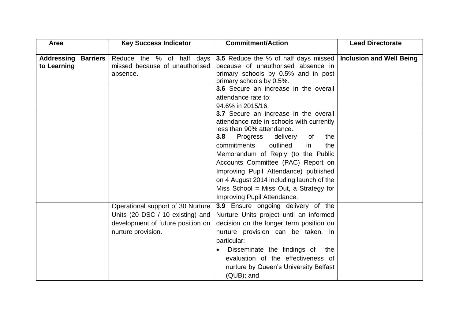| Area                                 | <b>Key Success Indicator</b>      | <b>Commitment/Action</b>                    | <b>Lead Directorate</b>         |
|--------------------------------------|-----------------------------------|---------------------------------------------|---------------------------------|
|                                      |                                   |                                             |                                 |
| <b>Addressing</b><br><b>Barriers</b> | Reduce the % of half days         | <b>3.5</b> Reduce the % of half days missed | <b>Inclusion and Well Being</b> |
| to Learning                          | missed because of unauthorised    | because of unauthorised absence in          |                                 |
|                                      | absence.                          | primary schools by 0.5% and in post         |                                 |
|                                      |                                   | primary schools by 0.5%.                    |                                 |
|                                      |                                   | 3.6 Secure an increase in the overall       |                                 |
|                                      |                                   | attendance rate to:                         |                                 |
|                                      |                                   | 94.6% in 2015/16.                           |                                 |
|                                      |                                   | 3.7 Secure an increase in the overall       |                                 |
|                                      |                                   | attendance rate in schools with currently   |                                 |
|                                      |                                   | less than 90% attendance.                   |                                 |
|                                      |                                   | the<br>3.8<br>Progress<br>delivery<br>of    |                                 |
|                                      |                                   | outlined<br>commitments<br>the<br>in        |                                 |
|                                      |                                   | Memorandum of Reply (to the Public          |                                 |
|                                      |                                   | Accounts Committee (PAC) Report on          |                                 |
|                                      |                                   | Improving Pupil Attendance) published       |                                 |
|                                      |                                   | on 4 August 2014 including launch of the    |                                 |
|                                      |                                   | Miss School = Miss Out, a Strategy for      |                                 |
|                                      |                                   | Improving Pupil Attendance.                 |                                 |
|                                      | Operational support of 30 Nurture | 3.9 Ensure ongoing delivery of the          |                                 |
|                                      | Units (20 DSC / 10 existing) and  | Nurture Units project until an informed     |                                 |
|                                      | development of future position on | decision on the longer term position on     |                                 |
|                                      | nurture provision.                | nurture provision can be taken. In          |                                 |
|                                      |                                   | particular:                                 |                                 |
|                                      |                                   | Disseminate the findings of<br>the          |                                 |
|                                      |                                   | evaluation of the effectiveness of          |                                 |
|                                      |                                   | nurture by Queen's University Belfast       |                                 |
|                                      |                                   | (QUB); and                                  |                                 |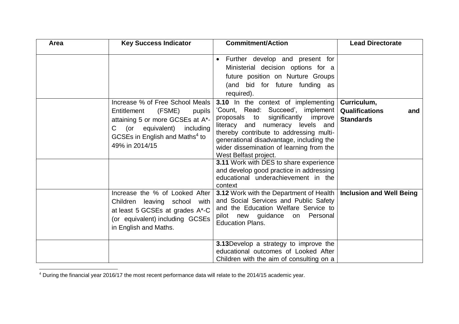| Area | <b>Key Success Indicator</b>                                                                                                                                                                                        | <b>Commitment/Action</b>                                                                                                                                                                                                                                                                                                            | <b>Lead Directorate</b>                                  |
|------|---------------------------------------------------------------------------------------------------------------------------------------------------------------------------------------------------------------------|-------------------------------------------------------------------------------------------------------------------------------------------------------------------------------------------------------------------------------------------------------------------------------------------------------------------------------------|----------------------------------------------------------|
|      |                                                                                                                                                                                                                     | Further develop and present for<br>$\bullet$<br>Ministerial decision options for a<br>future position on Nurture Groups<br>(and bid for future funding as<br>required).                                                                                                                                                             |                                                          |
|      | Increase % of Free School Meals<br>(FSME)<br>Entitlement<br>pupils<br>attaining 5 or more GCSEs at A*-<br>(or equivalent) including<br>$\mathsf{C}$<br>GCSEs in English and Maths <sup>4</sup> to<br>49% in 2014/15 | 3.10 In the context of implementing<br>'Count, Read: Succeed', implement<br>proposals to significantly improve<br>literacy and numeracy levels and<br>thereby contribute to addressing multi-<br>generational disadvantage, including the<br>wider dissemination of learning from the<br>West Belfast project.                      | Curriculum,<br>Qualifications<br>and<br><b>Standards</b> |
|      | Increase the % of Looked After<br>Children leaving school<br>with<br>at least 5 GCSEs at grades A*-C<br>(or equivalent) including GCSEs<br>in English and Maths.                                                    | 3.11 Work with DES to share experience<br>and develop good practice in addressing<br>educational underachievement in the<br>context<br><b>3.12 Work with the Department of Health</b><br>and Social Services and Public Safety<br>and the Education Welfare Service to<br>pilot new guidance on Personal<br><b>Education Plans.</b> | <b>Inclusion and Well Being</b>                          |
|      |                                                                                                                                                                                                                     | 3.13 Develop a strategy to improve the<br>educational outcomes of Looked After<br>Children with the aim of consulting on a                                                                                                                                                                                                          |                                                          |

 $4$  During the financial year 2016/17 the most recent performance data will relate to the 2014/15 academic year.

 $\overline{a}$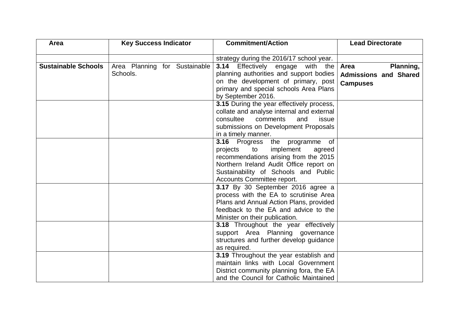| Area                       | <b>Key Success Indicator</b>  | <b>Commitment/Action</b>                    | <b>Lead Directorate</b>      |
|----------------------------|-------------------------------|---------------------------------------------|------------------------------|
|                            |                               |                                             |                              |
|                            |                               | strategy during the 2016/17 school year.    |                              |
| <b>Sustainable Schools</b> | Area Planning for Sustainable | 3.14<br>Effectively engage with the         | Planning,<br>Area            |
|                            | Schools.                      | planning authorities and support bodies     | <b>Admissions and Shared</b> |
|                            |                               | on the development of primary, post         | <b>Campuses</b>              |
|                            |                               | primary and special schools Area Plans      |                              |
|                            |                               | by September 2016.                          |                              |
|                            |                               | 3.15 During the year effectively process,   |                              |
|                            |                               | collate and analyse internal and external   |                              |
|                            |                               | consultee<br>comments<br>and<br>issue       |                              |
|                            |                               | submissions on Development Proposals        |                              |
|                            |                               | in a timely manner.                         |                              |
|                            |                               | 3.16 Progress the programme of              |                              |
|                            |                               | projects<br>to<br>implement<br>agreed       |                              |
|                            |                               | recommendations arising from the 2015       |                              |
|                            |                               | Northern Ireland Audit Office report on     |                              |
|                            |                               | Sustainability of Schools and Public        |                              |
|                            |                               | Accounts Committee report.                  |                              |
|                            |                               | 3.17 By 30 September 2016 agree a           |                              |
|                            |                               | process with the EA to scrutinise Area      |                              |
|                            |                               | Plans and Annual Action Plans, provided     |                              |
|                            |                               | feedback to the EA and advice to the        |                              |
|                            |                               | Minister on their publication.              |                              |
|                            |                               | <b>3.18</b> Throughout the year effectively |                              |
|                            |                               | support Area Planning governance            |                              |
|                            |                               | structures and further develop guidance     |                              |
|                            |                               | as required.                                |                              |
|                            |                               | 3.19 Throughout the year establish and      |                              |
|                            |                               | maintain links with Local Government        |                              |
|                            |                               | District community planning fora, the EA    |                              |
|                            |                               | and the Council for Catholic Maintained     |                              |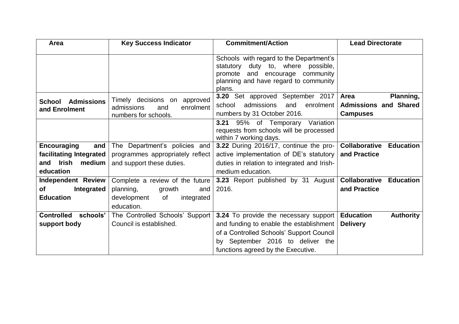| Area                          | <b>Key Success Indicator</b>     | <b>Commitment/Action</b>                                                 | <b>Lead Directorate</b>                  |
|-------------------------------|----------------------------------|--------------------------------------------------------------------------|------------------------------------------|
|                               |                                  |                                                                          |                                          |
|                               |                                  | Schools with regard to the Department's                                  |                                          |
|                               |                                  | statutory duty to, where possible,                                       |                                          |
|                               |                                  | promote and encourage community<br>planning and have regard to community |                                          |
|                               |                                  | plans.                                                                   |                                          |
|                               | Timely decisions on approved     | 3.20 Set approved September 2017                                         | Area<br>Planning,                        |
| <b>Admissions</b><br>School   | enrolment<br>admissions<br>and   | admissions<br>school<br>and<br>enrolment                                 | <b>Admissions and Shared</b>             |
| and Enrolment                 | numbers for schools.             | numbers by 31 October 2016.                                              | <b>Campuses</b>                          |
|                               |                                  | 3.21 95% of Temporary Variation                                          |                                          |
|                               |                                  | requests from schools will be processed                                  |                                          |
|                               |                                  | within 7 working days.                                                   |                                          |
| <b>Encouraging</b><br>and     | The Department's policies and    | 3.22 During 2016/17, continue the pro-                                   | <b>Collaborative</b><br><b>Education</b> |
| facilitating Integrated       | programmes appropriately reflect | active implementation of DE's statutory                                  | and Practice                             |
| and Irish medium              | and support these duties.        | duties in relation to integrated and Irish-                              |                                          |
| education                     |                                  | medium education.                                                        |                                          |
| <b>Independent Review</b>     | Complete a review of the future  | 3.23 Report published by 31 August                                       | <b>Collaborative</b><br><b>Education</b> |
| оf<br>Integrated              | planning,<br>growth<br>and       | 2016.                                                                    | and Practice                             |
| <b>Education</b>              | development<br>of<br>integrated  |                                                                          |                                          |
|                               | education.                       |                                                                          |                                          |
| <b>Controlled</b><br>schools' | The Controlled Schools' Support  | 3.24 To provide the necessary support                                    | <b>Education</b><br><b>Authority</b>     |
| support body                  | Council is established.          | and funding to enable the establishment                                  | <b>Delivery</b>                          |
|                               |                                  | of a Controlled Schools' Support Council                                 |                                          |
|                               |                                  | by September 2016 to deliver the                                         |                                          |
|                               |                                  | functions agreed by the Executive.                                       |                                          |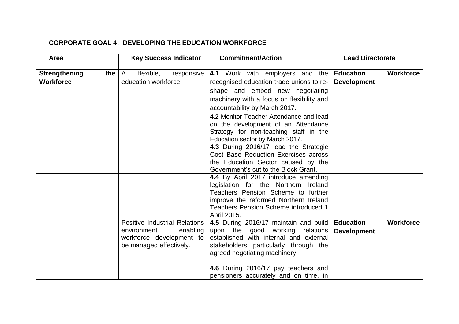#### **CORPORATE GOAL 4: DEVELOPING THE EDUCATION WORKFORCE**

| Area                        | <b>Key Success Indicator</b>         | <b>Commitment/Action</b>                                                             | <b>Lead Directorate</b>              |
|-----------------------------|--------------------------------------|--------------------------------------------------------------------------------------|--------------------------------------|
|                             |                                      |                                                                                      | <b>Workforce</b>                     |
| <b>Strengthening</b><br>the | flexible,<br>responsive<br>A         | 4.1 Work with employers and the <b>Education</b>                                     |                                      |
| <b>Workforce</b>            | education workforce.                 | recognised education trade unions to re-                                             | <b>Development</b>                   |
|                             |                                      | shape and embed new negotiating                                                      |                                      |
|                             |                                      | machinery with a focus on flexibility and                                            |                                      |
|                             |                                      | accountability by March 2017.                                                        |                                      |
|                             |                                      | 4.2 Monitor Teacher Attendance and lead                                              |                                      |
|                             |                                      | on the development of an Attendance                                                  |                                      |
|                             |                                      | Strategy for non-teaching staff in the                                               |                                      |
|                             |                                      | Education sector by March 2017.                                                      |                                      |
|                             |                                      | 4.3 During 2016/17 lead the Strategic                                                |                                      |
|                             |                                      | Cost Base Reduction Exercises across                                                 |                                      |
|                             |                                      | the Education Sector caused by the                                                   |                                      |
|                             |                                      | Government's cut to the Block Grant.                                                 |                                      |
|                             |                                      | 4.4 By April 2017 introduce amending                                                 |                                      |
|                             |                                      | legislation for the Northern Ireland<br>Teachers Pension Scheme to further           |                                      |
|                             |                                      |                                                                                      |                                      |
|                             |                                      | improve the reformed Northern Ireland<br><b>Teachers Pension Scheme introduced 1</b> |                                      |
|                             |                                      | April 2015.                                                                          |                                      |
|                             | <b>Positive Industrial Relations</b> | 4.5 During 2016/17 maintain and build                                                | <b>Education</b><br><b>Workforce</b> |
|                             | enabling<br>environment              | upon the good working relations                                                      | <b>Development</b>                   |
|                             | workforce development to             | established with internal and external                                               |                                      |
|                             | be managed effectively.              | stakeholders particularly through the                                                |                                      |
|                             |                                      | agreed negotiating machinery.                                                        |                                      |
|                             |                                      |                                                                                      |                                      |
|                             |                                      | 4.6 During 2016/17 pay teachers and                                                  |                                      |
|                             |                                      | pensioners accurately and on time, in                                                |                                      |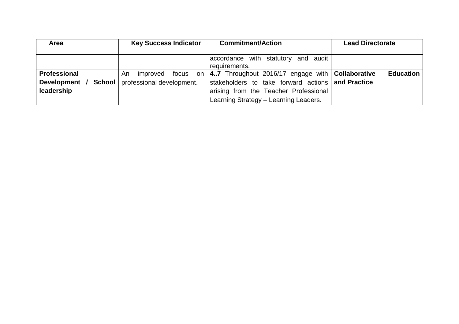| Area                | <b>Key Success Indicator</b>                          | <b>Commitment/Action</b>                           | <b>Lead Directorate</b> |
|---------------------|-------------------------------------------------------|----------------------------------------------------|-------------------------|
|                     |                                                       |                                                    |                         |
|                     |                                                       | accordance with statutory and audit                |                         |
|                     |                                                       | requirements.                                      |                         |
| <b>Professional</b> | focus on l<br>improved<br>An                          | 4.7 Throughout 2016/17 engage with   Collaborative | <b>Education</b>        |
|                     | <b>Development / School</b> professional development. | stakeholders to take forward actions and Practice  |                         |
| leadership          |                                                       | arising from the Teacher Professional              |                         |
|                     |                                                       | Learning Strategy - Learning Leaders.              |                         |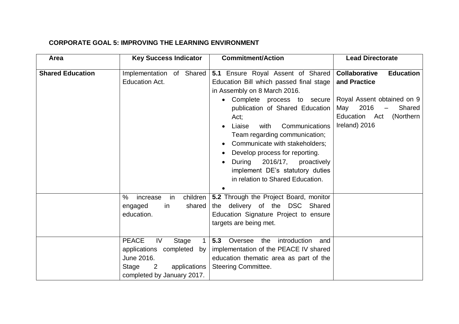#### **CORPORATE GOAL 5: IMPROVING THE LEARNING ENVIRONMENT**

| Area                    | <b>Key Success Indicator</b>                                                                                          | <b>Commitment/Action</b>                                                                                                                                                                                                                                                                                                                                                                                                                               | <b>Lead Directorate</b>                                                                                                             |
|-------------------------|-----------------------------------------------------------------------------------------------------------------------|--------------------------------------------------------------------------------------------------------------------------------------------------------------------------------------------------------------------------------------------------------------------------------------------------------------------------------------------------------------------------------------------------------------------------------------------------------|-------------------------------------------------------------------------------------------------------------------------------------|
| <b>Shared Education</b> | Implementation of Shared<br><b>Education Act.</b>                                                                     | 5.1 Ensure Royal Assent of Shared   Collaborative<br>Education Bill which passed final stage<br>in Assembly on 8 March 2016.<br>• Complete process to secure<br>publication of Shared Education<br>Act;<br>with<br>Communications<br>Liaise<br>Team regarding communication;<br>Communicate with stakeholders;<br>Develop process for reporting.<br>During 2016/17, proactively<br>implement DE's statutory duties<br>in relation to Shared Education. | <b>Education</b><br>and Practice<br>Royal Assent obtained on 9<br>2016<br>Shared<br>May<br>Education Act (Northern<br>Ireland) 2016 |
|                         | children<br>%<br>increase<br>in<br>shared<br>engaged<br>in<br>education.<br><b>PEACE</b><br>IV<br>Stage               | 5.2 Through the Project Board, monitor<br>the delivery of the DSC<br>Shared<br>Education Signature Project to ensure<br>targets are being met.<br>$1 \mid 5.3$<br>Oversee the<br>introduction<br>and                                                                                                                                                                                                                                                   |                                                                                                                                     |
|                         | applications completed<br>by l<br>June 2016.<br>applications<br>Stage<br>$\overline{2}$<br>completed by January 2017. | implementation of the PEACE IV shared<br>education thematic area as part of the<br><b>Steering Committee.</b>                                                                                                                                                                                                                                                                                                                                          |                                                                                                                                     |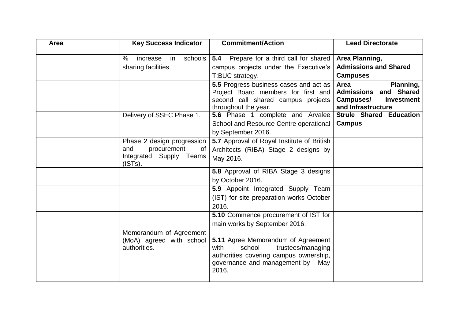| Area | <b>Key Success Indicator</b>                                                                 | <b>Commitment/Action</b>                                                                                                                                         | <b>Lead Directorate</b>                                                                                   |
|------|----------------------------------------------------------------------------------------------|------------------------------------------------------------------------------------------------------------------------------------------------------------------|-----------------------------------------------------------------------------------------------------------|
|      | %<br>schools<br>increase<br>in<br>sharing facilities.                                        | <b>5.4</b> Prepare for a third call for shared<br>campus projects under the Executive's<br>T:BUC strategy.                                                       | Area Planning,<br><b>Admissions and Shared</b><br><b>Campuses</b>                                         |
|      |                                                                                              | 5.5 Progress business cases and act as<br>Project Board members for first and<br>second call shared campus projects<br>throughout the year.                      | Planning,<br>Area<br><b>Admissions and Shared</b><br>Campuses/<br><b>Investment</b><br>and Infrastructure |
|      | Delivery of SSEC Phase 1.                                                                    | 5.6 Phase 1 complete and Arvalee<br>School and Resource Centre operational<br>by September 2016.                                                                 | <b>Strule Shared Education</b><br><b>Campus</b>                                                           |
|      | Phase 2 design progression<br>and<br>procurement<br>of<br>Integrated Supply Teams<br>(ISTs). | 5.7 Approval of Royal Institute of British<br>Architects (RIBA) Stage 2 designs by<br>May 2016.                                                                  |                                                                                                           |
|      |                                                                                              | 5.8 Approval of RIBA Stage 3 designs<br>by October 2016.                                                                                                         |                                                                                                           |
|      |                                                                                              | 5.9 Appoint Integrated Supply Team<br>(IST) for site preparation works October<br>2016.                                                                          |                                                                                                           |
|      |                                                                                              | 5.10 Commence procurement of IST for<br>main works by September 2016.                                                                                            |                                                                                                           |
|      | Memorandum of Agreement<br>(MoA) agreed with school<br>authorities.                          | 5.11 Agree Memorandum of Agreement<br>school<br>trustees/managing<br>with<br>authorities covering campus ownership,<br>governance and management by May<br>2016. |                                                                                                           |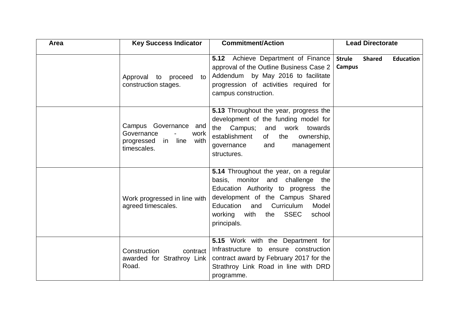| Area | <b>Key Success Indicator</b>                                                             | <b>Commitment/Action</b>                                                                                                                                                                                                                                        | <b>Lead Directorate</b>                                             |
|------|------------------------------------------------------------------------------------------|-----------------------------------------------------------------------------------------------------------------------------------------------------------------------------------------------------------------------------------------------------------------|---------------------------------------------------------------------|
|      | Approval to proceed<br>to<br>construction stages.                                        | <b>5.12</b> Achieve Department of Finance<br>approval of the Outline Business Case 2<br>Addendum by May 2016 to facilitate<br>progression of activities required for<br>campus construction.                                                                    | <b>Strule</b><br><b>Shared</b><br><b>Education</b><br><b>Campus</b> |
|      | Campus Governance and<br>Governance<br>work<br>progressed in<br>line with<br>timescales. | 5.13 Throughout the year, progress the<br>development of the funding model for<br>the Campus; and work towards<br>establishment<br>of<br>the<br>ownership,<br>and<br>management<br>governance<br>structures.                                                    |                                                                     |
|      | Work progressed in line with<br>agreed timescales.                                       | 5.14 Throughout the year, on a regular<br>basis, monitor and challenge the<br>Education Authority to progress the<br>development of the Campus Shared<br>and Curriculum<br>Education<br>Model<br><b>SSEC</b><br>working<br>with<br>school<br>the<br>principals. |                                                                     |
|      | Construction<br>contract<br>awarded for Strathroy Link<br>Road.                          | 5.15 Work with the Department for<br>Infrastructure to ensure construction<br>contract award by February 2017 for the<br>Strathroy Link Road in line with DRD<br>programme.                                                                                     |                                                                     |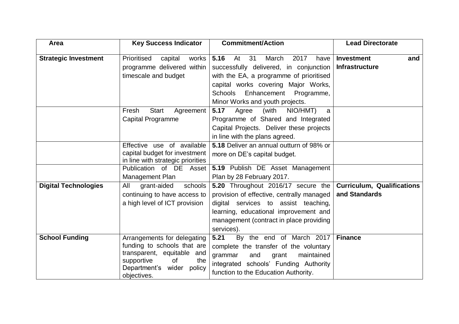| Area                        | <b>Key Success Indicator</b>                                                                                                                                          | <b>Commitment/Action</b>                                                                                                                                                                                                  | <b>Lead Directorate</b>                            |
|-----------------------------|-----------------------------------------------------------------------------------------------------------------------------------------------------------------------|---------------------------------------------------------------------------------------------------------------------------------------------------------------------------------------------------------------------------|----------------------------------------------------|
| <b>Strategic Investment</b> | Prioritised<br>works<br>capital<br>programme delivered within<br>timescale and budget                                                                                 | 5.16<br>31<br>At<br>March<br>2017<br>have<br>successfully delivered, in conjunction<br>with the EA, a programme of prioritised<br>capital works covering Major Works,<br><b>Schools</b><br>Enhancement Programme,         | <b>Investment</b><br>and<br><b>Infrastructure</b>  |
|                             | <b>Start</b><br>Fresh<br>Agreement<br>Capital Programme                                                                                                               | Minor Works and youth projects.<br>5.17<br>(with<br>NIO/HMT)<br>Agree<br>a<br>Programme of Shared and Integrated<br>Capital Projects. Deliver these projects<br>in line with the plans agreed.                            |                                                    |
|                             | Effective use of available<br>capital budget for investment<br>in line with strategic priorities<br>Publication of DE Asset<br>Management Plan                        | 5.18 Deliver an annual outturn of 98% or<br>more on DE's capital budget.<br>5.19 Publish DE Asset Management<br>Plan by 28 February 2017.                                                                                 |                                                    |
| <b>Digital Technologies</b> | grant-aided<br>schools<br>All<br>continuing to have access to<br>a high level of ICT provision                                                                        | 5.20 Throughout 2016/17 secure the<br>provision of effective, centrally managed<br>digital services to assist teaching,<br>learning, educational improvement and<br>management (contract in place providing<br>services). | <b>Curriculum, Qualifications</b><br>and Standards |
| <b>School Funding</b>       | Arrangements for delegating<br>funding to schools that are<br>transparent, equitable and<br>supportive<br>0f<br>the<br>Department's<br>wider<br>policy<br>objectives. | 5.21<br>By the end of March 2017<br>complete the transfer of the voluntary<br>grammar<br>and<br>maintained<br>grant<br>integrated schools' Funding Authority<br>function to the Education Authority.                      | <b>Finance</b>                                     |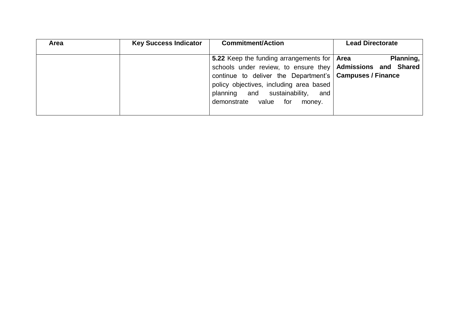| Area | <b>Key Success Indicator</b> | <b>Commitment/Action</b>                                                                                                                                                          | <b>Lead Directorate</b> |
|------|------------------------------|-----------------------------------------------------------------------------------------------------------------------------------------------------------------------------------|-------------------------|
|      |                              | 5.22 Keep the funding arrangements for   Area<br>schools under review, to ensure they Admissions and Shared                                                                       | Planning,               |
|      |                              | continue to deliver the Department's   Campuses / Finance<br>policy objectives, including area based<br>and sustainability,<br>planning<br>and<br>demonstrate value for<br>money. |                         |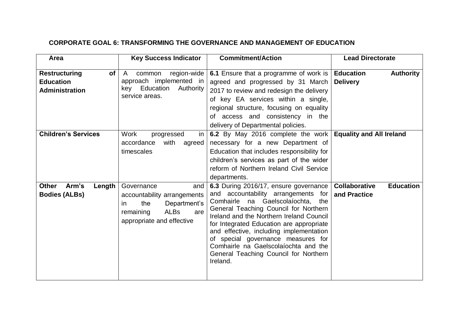#### **CORPORATE GOAL 6: TRANSFORMING THE GOVERNANCE AND MANAGEMENT OF EDUCATION**

| Area                                                                           | <b>Key Success Indicator</b>                                                                                                            | <b>Commitment/Action</b>                                                                                                                                                                                                                                                                                                                                                                                                         | <b>Lead Directorate</b>                                  |
|--------------------------------------------------------------------------------|-----------------------------------------------------------------------------------------------------------------------------------------|----------------------------------------------------------------------------------------------------------------------------------------------------------------------------------------------------------------------------------------------------------------------------------------------------------------------------------------------------------------------------------------------------------------------------------|----------------------------------------------------------|
| <b>of</b><br><b>Restructuring</b><br><b>Education</b><br><b>Administration</b> | region-wide<br>$\mathsf{A}$<br>common<br>approach implemented in<br>key Education Authority<br>service areas.                           | 6.1 Ensure that a programme of work is   Education<br>agreed and progressed by 31 March<br>2017 to review and redesign the delivery<br>of key EA services within a single,<br>regional structure, focusing on equality<br>of access and consistency in the<br>delivery of Departmental policies.                                                                                                                                 | <b>Authority</b><br><b>Delivery</b>                      |
| <b>Children's Services</b>                                                     | <b>Work</b><br>in<br>progressed<br>accordance<br>with<br>agreed<br>timescales                                                           | 6.2 By May 2016 complete the work<br>necessary for a new Department of<br>Education that includes responsibility for<br>children's services as part of the wider<br>reform of Northern Ireland Civil Service<br>departments.                                                                                                                                                                                                     | <b>Equality and All Ireland</b>                          |
| Arm's<br><b>Other</b><br>Length<br><b>Bodies (ALBs)</b>                        | Governance<br>and<br>accountability arrangements<br>the<br>Department's<br>in.<br>ALBs<br>remaining<br>are<br>appropriate and effective | 6.3 During 2016/17, ensure governance<br>and accountability arrangements for<br>Comhairle na Gaelscolaíochta, the<br>General Teaching Council for Northern<br>Ireland and the Northern Ireland Council<br>for Integrated Education are appropriate<br>and effective, including implementation<br>of special governance measures for<br>Comhairle na Gaelscolaíochta and the<br>General Teaching Council for Northern<br>Ireland. | <b>Collaborative</b><br><b>Education</b><br>and Practice |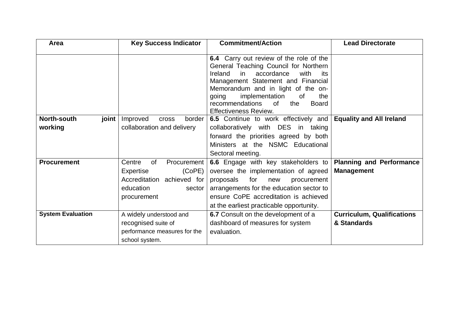| Area                            | <b>Key Success Indicator</b>                                                                                                  | <b>Commitment/Action</b>                                                                                                                                                                                                                                                                                                           | <b>Lead Directorate</b>                              |
|---------------------------------|-------------------------------------------------------------------------------------------------------------------------------|------------------------------------------------------------------------------------------------------------------------------------------------------------------------------------------------------------------------------------------------------------------------------------------------------------------------------------|------------------------------------------------------|
|                                 |                                                                                                                               | 6.4 Carry out review of the role of the<br>General Teaching Council for Northern<br>accordance<br>Ireland<br>in<br>with<br>its<br>Management Statement and Financial<br>Memorandum and in light of the on-<br>implementation<br>the<br>going<br>0f<br>the<br>recommendations<br>0f<br><b>Board</b><br><b>Effectiveness Review.</b> |                                                      |
| North-south<br>joint<br>working | Improved<br><b>Cross</b><br>border<br>collaboration and delivery                                                              | 6.5 Continue to work effectively and<br>collaboratively with DES<br>in taking<br>forward the priorities agreed by both<br>Ministers at the NSMC Educational<br>Sectoral meeting.                                                                                                                                                   | <b>Equality and All Ireland</b>                      |
| <b>Procurement</b>              | Centre<br><b>of</b><br>Procurement<br>Expertise<br>(CoPE)<br>Accreditation achieved for<br>education<br>sector<br>procurement | 6.6 Engage with key stakeholders to<br>oversee the implementation of agreed<br>for<br>proposals<br>new<br>procurement<br>arrangements for the education sector to<br>ensure CoPE accreditation is achieved<br>at the earliest practicable opportunity.                                                                             | <b>Planning and Performance</b><br><b>Management</b> |
| <b>System Evaluation</b>        | A widely understood and<br>recognised suite of<br>performance measures for the<br>school system.                              | 6.7 Consult on the development of a<br>dashboard of measures for system<br>evaluation.                                                                                                                                                                                                                                             | <b>Curriculum, Qualifications</b><br>& Standards     |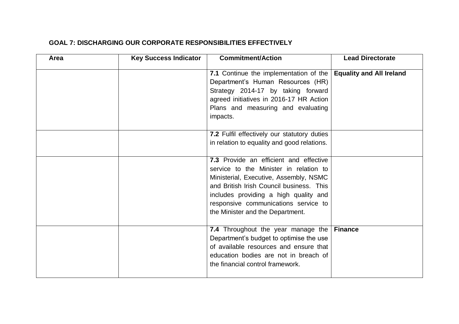#### **GOAL 7: DISCHARGING OUR CORPORATE RESPONSIBILITIES EFFECTIVELY**

| Area | <b>Key Success Indicator</b> | <b>Commitment/Action</b>                                                                                                                                                                                                                                                                    | <b>Lead Directorate</b>         |
|------|------------------------------|---------------------------------------------------------------------------------------------------------------------------------------------------------------------------------------------------------------------------------------------------------------------------------------------|---------------------------------|
|      |                              | 7.1 Continue the implementation of the<br>Department's Human Resources (HR)<br>Strategy 2014-17 by taking forward<br>agreed initiatives in 2016-17 HR Action<br>Plans and measuring and evaluating<br>impacts.                                                                              | <b>Equality and All Ireland</b> |
|      |                              | 7.2 Fulfil effectively our statutory duties<br>in relation to equality and good relations.                                                                                                                                                                                                  |                                 |
|      |                              | 7.3 Provide an efficient and effective<br>service to the Minister in relation to<br>Ministerial, Executive, Assembly, NSMC<br>and British Irish Council business. This<br>includes providing a high quality and<br>responsive communications service to<br>the Minister and the Department. |                                 |
|      |                              | 7.4 Throughout the year manage the   Finance<br>Department's budget to optimise the use<br>of available resources and ensure that<br>education bodies are not in breach of<br>the financial control framework.                                                                              |                                 |